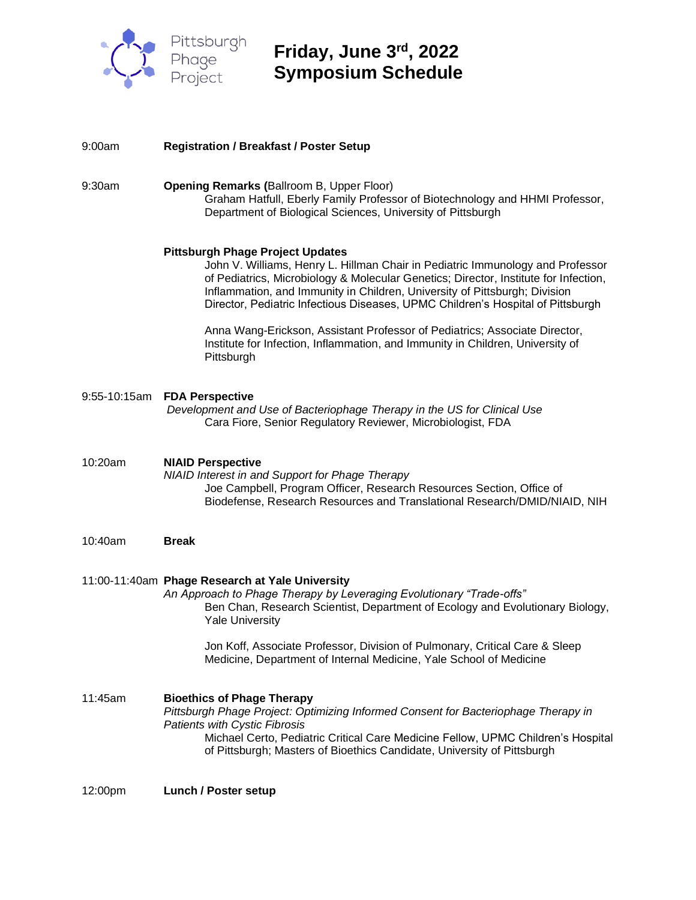

**Friday, June 3 rd, 2022 Symposium Schedule**

| 9:00am       | <b>Registration / Breakfast / Poster Setup</b>                                                                                                                                                                                                                                                                                                                                     |
|--------------|------------------------------------------------------------------------------------------------------------------------------------------------------------------------------------------------------------------------------------------------------------------------------------------------------------------------------------------------------------------------------------|
| 9:30am       | <b>Opening Remarks (Ballroom B, Upper Floor)</b><br>Graham Hatfull, Eberly Family Professor of Biotechnology and HHMI Professor,<br>Department of Biological Sciences, University of Pittsburgh                                                                                                                                                                                    |
|              | <b>Pittsburgh Phage Project Updates</b><br>John V. Williams, Henry L. Hillman Chair in Pediatric Immunology and Professor<br>of Pediatrics, Microbiology & Molecular Genetics; Director, Institute for Infection,<br>Inflammation, and Immunity in Children, University of Pittsburgh; Division<br>Director, Pediatric Infectious Diseases, UPMC Children's Hospital of Pittsburgh |
|              | Anna Wang-Erickson, Assistant Professor of Pediatrics; Associate Director,<br>Institute for Infection, Inflammation, and Immunity in Children, University of<br>Pittsburgh                                                                                                                                                                                                         |
| 9:55-10:15am | <b>FDA Perspective</b><br>Development and Use of Bacteriophage Therapy in the US for Clinical Use<br>Cara Fiore, Senior Regulatory Reviewer, Microbiologist, FDA                                                                                                                                                                                                                   |
| 10:20am      | <b>NIAID Perspective</b><br>NIAID Interest in and Support for Phage Therapy<br>Joe Campbell, Program Officer, Research Resources Section, Office of<br>Biodefense, Research Resources and Translational Research/DMID/NIAID, NIH                                                                                                                                                   |
| 10:40am      | <b>Break</b>                                                                                                                                                                                                                                                                                                                                                                       |
|              | 11:00-11:40am Phage Research at Yale University<br>An Approach to Phage Therapy by Leveraging Evolutionary "Trade-offs"<br>Ben Chan, Research Scientist, Department of Ecology and Evolutionary Biology,<br><b>Yale University</b>                                                                                                                                                 |
|              | Jon Koff, Associate Professor, Division of Pulmonary, Critical Care & Sleep<br>Medicine, Department of Internal Medicine, Yale School of Medicine                                                                                                                                                                                                                                  |
| 11:45am      | <b>Bioethics of Phage Therapy</b><br>Pittsburgh Phage Project: Optimizing Informed Consent for Bacteriophage Therapy in<br><b>Patients with Cystic Fibrosis</b><br>Michael Certo, Pediatric Critical Care Medicine Fellow, UPMC Children's Hospital<br>of Pittsburgh; Masters of Bioethics Candidate, University of Pittsburgh                                                     |
| 12:00pm      | <b>Lunch / Poster setup</b>                                                                                                                                                                                                                                                                                                                                                        |